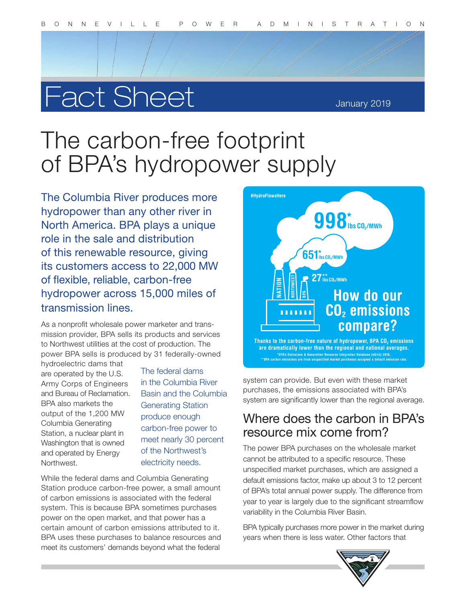# Fact Sheet

January 2019

## The carbon-free footprint of BPA's hydropower supply

The Columbia River produces more hydropower than any other river in North America. BPA plays a unique role in the sale and distribution of this renewable resource, giving its customers access to 22,000 MW of flexible, reliable, carbon-free hydropower across 15,000 miles of transmission lines.

As a nonprofit wholesale power marketer and transmission provider, BPA sells its products and services to Northwest utilities at the cost of production. The power BPA sells is produced by 31 federally-owned

hydroelectric dams that are operated by the U.S. Army Corps of Engineers and Bureau of Reclamation. BPA also markets the output of the 1,200 MW Columbia Generating Station, a nuclear plant in Washington that is owned and operated by Energy **Northwest** 

The federal dams in the Columbia River Basin and the Columbia Generating Station produce enough carbon-free power to meet nearly 30 percent of the Northwest's electricity needs.

While the federal dams and Columbia Generating Station produce carbon-free power, a small amount of carbon emissions is associated with the federal system. This is because BPA sometimes purchases power on the open market, and that power has a certain amount of carbon emissions attributed to it. BPA uses these purchases to balance resources and meet its customers' demands beyond what the federal



system can provide. But even with these market purchases, the emissions associated with BPA's system are significantly lower than the regional average.

### Where does the carbon in BPA's resource mix come from?

The power BPA purchases on the wholesale market cannot be attributed to a specific resource. These unspecified market purchases, which are assigned a default emissions factor, make up about 3 to 12 percent of BPA's total annual power supply. The difference from year to year is largely due to the significant streamflow variability in the Columbia River Basin.

BPA typically purchases more power in the market during years when there is less water. Other factors that